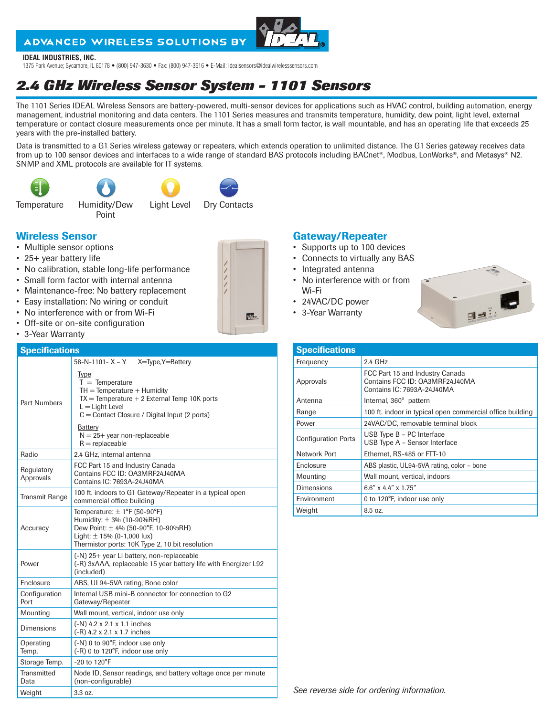## ADVANCED WIRELESS SOLUTIONS BY

#### **IDEAL INDUSTRIES, INC.**

1375 Park Avenue; Sycamore, IL 60178 • (800) 947-3630 • Fax: (800) 947-3616 • E-Mail: idealsensors@idealwirelesssensors.com

# *2.4 GHz Wireless Sensor System - 1101 Sensors*

The 1101 Series IDEAL Wireless Sensors are battery-powered, multi-sensor devices for applications such as HVAC control, building automation, energy management, industrial monitoring and data centers. The 1101 Series measures and transmits temperature, humidity, dew point, light level, external temperature or contact closure measurements once per minute. It has a small form factor, is wall mountable, and has an operating life that exceeds 25 years with the pre-installed battery.

Data is transmitted to a G1 Series wireless gateway or repeaters, which extends operation to unlimited distance. The G1 Series gateway receives data from up to 100 sensor devices and interfaces to a wide range of standard BAS protocols including BACnet®, Modbus, LonWorks®, and Metasys® N2. SNMP and XML protocols are available for IT systems.









Temperature Humidity/Dew

Point





## Wireless Sensor

- Multiple sensor options
- 25+ year battery life
- No calibration, stable long-life performance
- Small form factor with internal antenna
- Maintenance-free: No battery replacement
- Easy installation: No wiring or conduit
- No interference with or from Wi-Fi
- Off-site or on-site configuration
- 3-Year Warranty

#### **Specifications**

| opoomoution             |                                                                                                                                                                                                   |  |  |  |
|-------------------------|---------------------------------------------------------------------------------------------------------------------------------------------------------------------------------------------------|--|--|--|
|                         | 58-N-1101-X-Y<br>X=Type, Y=Battery                                                                                                                                                                |  |  |  |
| <b>Part Numbers</b>     | <b>Type</b><br>$T =$ Temperature<br>$TH = Temperature + Humidity$<br>$TX = Temperature + 2$ External Temp 10K ports<br>$L =$ Light Level<br>$C =$ Contact Closure / Digital Input (2 ports)       |  |  |  |
|                         | Battery<br>$N = 25 +$ year non-replaceable<br>$R =$ replaceable                                                                                                                                   |  |  |  |
| Radio                   | 2.4 GHz, internal antenna                                                                                                                                                                         |  |  |  |
| Regulatory<br>Approvals | FCC Part 15 and Industry Canada<br>Contains FCC ID: OA3MRF24J40MA<br>Contains IC: 7693A-24J40MA                                                                                                   |  |  |  |
| <b>Transmit Range</b>   | 100 ft. indoors to G1 Gateway/Repeater in a typical open<br>commercial office building                                                                                                            |  |  |  |
| Accuracy                | Temperature: $\pm$ 1°F (50-90°F)<br>Humidity: $\pm$ 3% (10-90%RH)<br>Dew Point: $\pm$ 4% (50-90°F, 10-90%RH)<br>Light: $\pm$ 15% (0-1,000 lux)<br>Thermistor ports: 10K Type 2, 10 bit resolution |  |  |  |
| Power                   | (-N) 25+ year Li battery, non-replaceable<br>(-R) 3xAAA, replaceable 15 year battery life with Energizer L92<br>(included)                                                                        |  |  |  |
| Enclosure               | ABS, UL94-5VA rating, Bone color                                                                                                                                                                  |  |  |  |
| Configuration<br>Port   | Internal USB mini-B connector for connection to G2<br>Gateway/Repeater                                                                                                                            |  |  |  |
| Mounting                | Wall mount, vertical, indoor use only                                                                                                                                                             |  |  |  |
| <b>Dimensions</b>       | $(-N)$ 4.2 x 2.1 x 1.1 inches<br>$(-R)$ 4.2 x 2.1 x 1.7 inches                                                                                                                                    |  |  |  |
| Operating<br>Temp.      | (-N) 0 to 90°F, indoor use only<br>(-R) 0 to 120°F, indoor use only                                                                                                                               |  |  |  |
| Storage Temp.           | $-20$ to $120^{\circ}$ F                                                                                                                                                                          |  |  |  |
| Transmitted<br>Data     | Node ID, Sensor readings, and battery voltage once per minute<br>(non-configurable)                                                                                                               |  |  |  |
| Weight                  | 3.3 oz                                                                                                                                                                                            |  |  |  |

### Gateway/Repeater

- Supports up to 100 devices
- Connects to virtually any BAS
- Integrated antenna
- No interference with or from Wi-Fi
- 24VAC/DC power
- 3-Year Warranty



| <b>Specifications</b>      |                                                                                                 |  |  |
|----------------------------|-------------------------------------------------------------------------------------------------|--|--|
| Frequency                  | $2.4$ GHz                                                                                       |  |  |
| Approvals                  | FCC Part 15 and Industry Canada<br>Contains FCC ID: OA3MRF24J40MA<br>Contains IC: 7693A-24J40MA |  |  |
| Antenna                    | Internal, 360° pattern                                                                          |  |  |
| Range                      | 100 ft. indoor in typical open commercial office building                                       |  |  |
| Power                      | 24VAC/DC, removable terminal block                                                              |  |  |
| <b>Configuration Ports</b> | USB Type B - PC Interface<br>USB Type A - Sensor Interface                                      |  |  |
| Network Port               | Ethernet, RS-485 or FTT-10                                                                      |  |  |
| Enclosure                  | ABS plastic, UL94-5VA rating, color - bone                                                      |  |  |
| Mounting                   | Wall mount, vertical, indoors                                                                   |  |  |
| <b>Dimensions</b>          | $6.6'' \times 4.4'' \times 1.75''$                                                              |  |  |
| Environment                | 0 to 120°F, indoor use only                                                                     |  |  |
| Weight                     | 8.5 oz.                                                                                         |  |  |



*See reverse side for ordering information.* 

 $\sqrt{2\pi}$